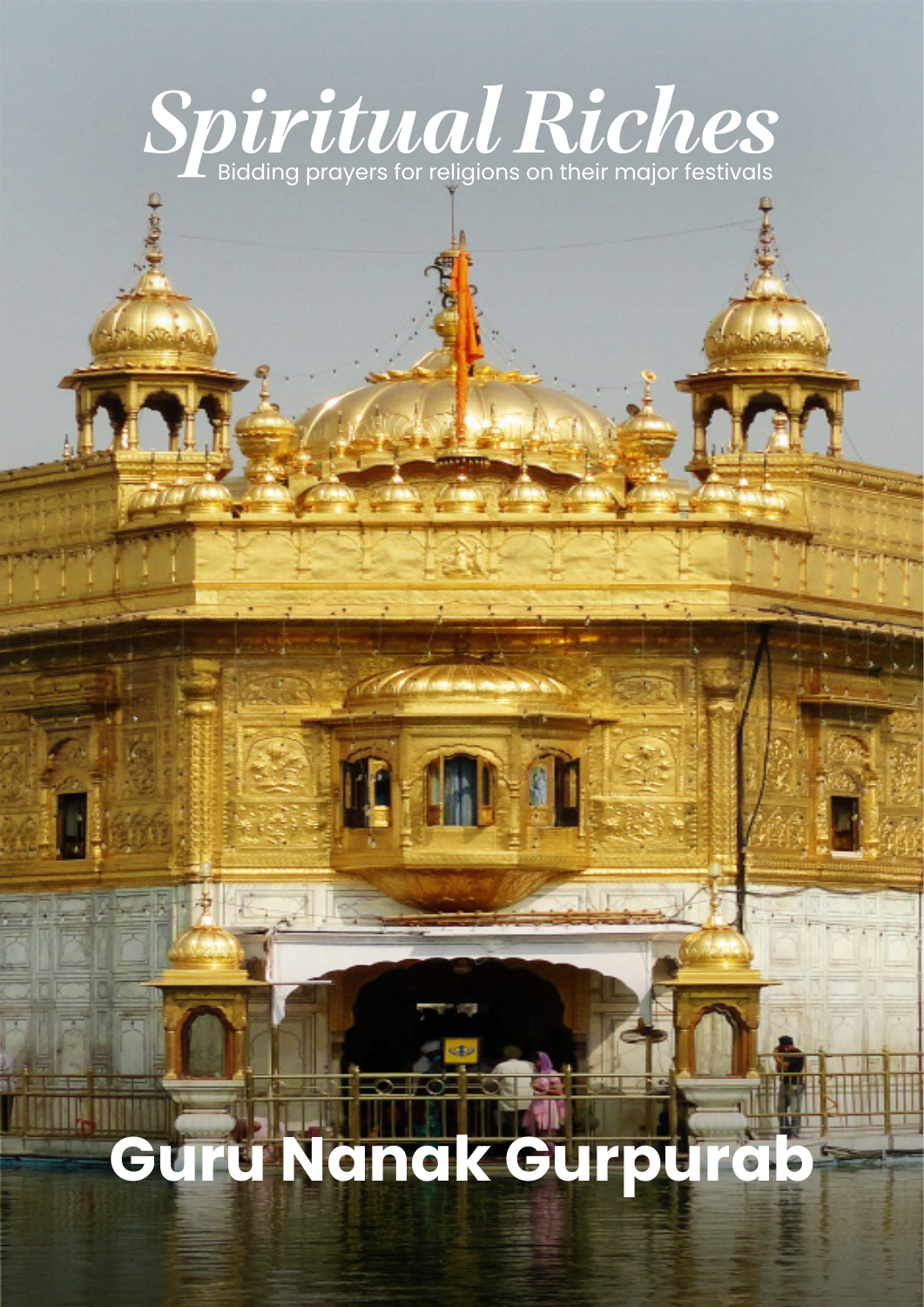# *Spiritual Riches*

## **Guru Nanak Gurpurab**